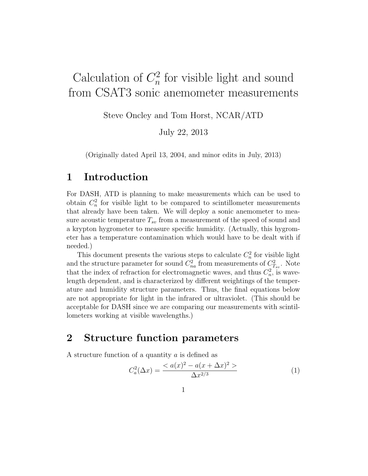## Calculation of  $C_n^2$  $\frac{a}{n}$  for visible light and sound from CSAT3 sonic anemometer measurements

Steve Oncley and Tom Horst, NCAR/ATD

July 22, 2013

(Originally dated April 13, 2004, and minor edits in July, 2013)

# 1 Introduction

For DASH, ATD is planning to make measurements which can be used to obtain  $C_n^2$  for visible light to be compared to scintillometer measurements that already have been taken. We will deploy a sonic anemometer to measure acoustic temperature  $T_{sv}$  from a measurement of the speed of sound and a krypton hygrometer to measure specific humidity. (Actually, this hygrometer has a temperature contamination which would have to be dealt with if needed.)

This document presents the various steps to calculate  $C_n^2$  for visible light and the structure parameter for sound  $C_{na}^2$  from measurements of  $C_{T_{sv}}^2$ . Note that the index of refraction for electromagnetic waves, and thus  $C_n^2$ , is wavelength dependent, and is characterized by different weightings of the temperature and humidity structure parameters. Thus, the final equations below are not appropriate for light in the infrared or ultraviolet. (This should be acceptable for DASH since we are comparing our measurements with scintillometers working at visible wavelengths.)

# 2 Structure function parameters

A structure function of a quantity a is defined as

$$
C_a^2(\Delta x) = \frac{a(x)^2 - a(x + \Delta x)^2 >}{\Delta x^{2/3}}
$$
 (1)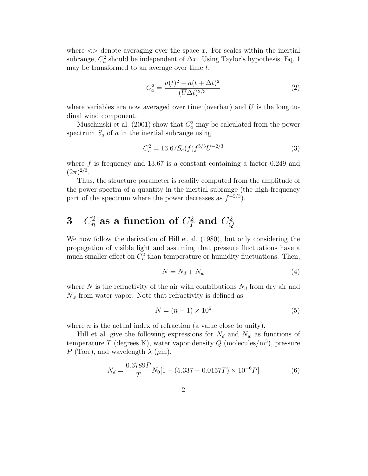where  $\langle \rangle$  denote averaging over the space x. For scales within the inertial subrange,  $C_a^2$  should be independent of  $\Delta x$ . Using Taylor's hypothesis, Eq. 1 may be transformed to an average over time  $t$ .

$$
C_a^2 = \frac{\overline{a(t)^2 - a(t + \Delta t)^2}}{(\overline{U}\Delta t)^{2/3}}\tag{2}
$$

where variables are now averaged over time (overbar) and  $U$  is the longitudinal wind component.

Muschinski et al. (2001) show that  $C_a^2$  may be calculated from the power spectrum  $S_a$  of a in the inertial subrange using

$$
C_a^2 = 13.67 S_a(f) f^{5/3} U^{-2/3}
$$
 (3)

where  $f$  is frequency and 13.67 is a constant containing a factor 0.249 and  $(2\pi)^{2/3}$ .

Thus, the structure parameter is readily computed from the amplitude of the power spectra of a quantity in the inertial subrange (the high-frequency part of the spectrum where the power decreases as  $f^{-5/3}$ .

#### $3\quad C_n^2 \;{\rm as} \; {\rm a} \;{\rm function} \;{\rm of} \; C_T^2 \;{\rm and} \; C_Q^2$  $\,Q$

We now follow the derivation of Hill et al. (1980), but only considering the propagation of visible light and assuming that pressure fluctuations have a much smaller effect on  $C_n^2$  than temperature or humidity fluctuations. Then,

$$
N = N_d + N_w \tag{4}
$$

where N is the refractivity of the air with contributions  $N_d$  from dry air and  $N_w$  from water vapor. Note that refractivity is defined as

$$
N = (n-1) \times 10^6 \tag{5}
$$

where  $n$  is the actual index of refraction (a value close to unity).

Hill et al. give the following expressions for  $N_d$  and  $N_w$  as functions of temperature T (degrees K), water vapor density  $Q$  (molecules/m<sup>3</sup>), pressure P (Torr), and wavelength  $\lambda$  ( $\mu$ m).

$$
N_d = \frac{0.3789P}{T} N_0 [1 + (5.337 - 0.0157T) \times 10^{-6} P] \tag{6}
$$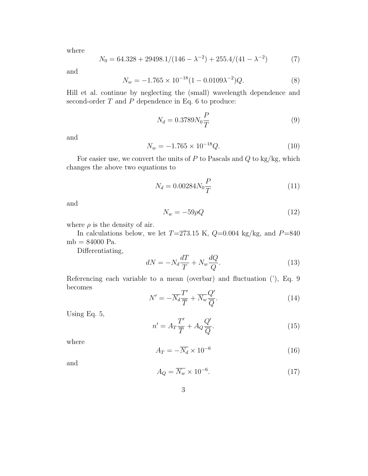where

$$
N_0 = 64.328 + 29498.1/(146 - \lambda^{-2}) + 255.4/(41 - \lambda^{-2})
$$
 (7)

and

$$
N_w = -1.765 \times 10^{-18} (1 - 0.0109 \lambda^{-2}) Q. \tag{8}
$$

Hill et al. continue by neglecting the (small) wavelength dependence and second-order  $T$  and  $P$  dependence in Eq. 6 to produce:

$$
N_d = 0.3789 N_0 \frac{P}{T}
$$
\n
$$
\tag{9}
$$

and

$$
N_w = -1.765 \times 10^{-18} Q. \tag{10}
$$

For easier use, we convert the units of  $P$  to Pascals and  $Q$  to kg/kg, which changes the above two equations to

$$
N_d = 0.00284 N_0 \frac{P}{T}
$$
\n(11)

and

$$
N_w = -59\rho Q \tag{12}
$$

where  $\rho$  is the density of air.

In calculations below, we let  $T=273.15$  K,  $Q=0.004$  kg/kg, and  $P=840$ mb = 84000 Pa.

Differentiating,

$$
dN = -N_d \frac{dT}{T} + N_w \frac{dQ}{Q}.
$$
\n(13)

Referencing each variable to a mean (overbar) and fluctuation ('), Eq. 9 becomes ′

$$
N' = -\overline{N_d} \frac{T'}{\overline{T}} + \overline{N_w} \frac{Q'}{\overline{Q}}.
$$
\n(14)

Using Eq. 5,

$$
n' = A_T \frac{T'}{\overline{T}} + A_Q \frac{Q'}{\overline{Q}}.
$$
\n(15)

where

$$
A_T = -\overline{N_d} \times 10^{-6} \tag{16}
$$

and

$$
A_Q = \overline{N_w} \times 10^{-6}.\tag{17}
$$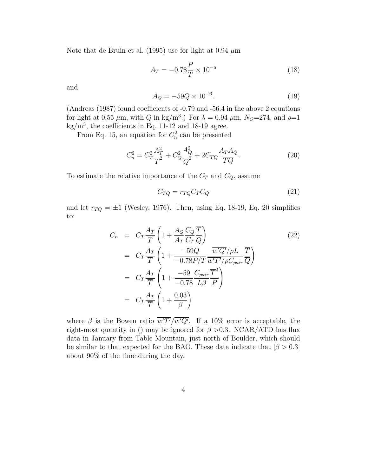Note that de Bruin et al. (1995) use for light at 0.94  $\mu$ m

$$
A_T = -0.78 \frac{P}{T} \times 10^{-6}
$$
 (18)

and

$$
A_Q = -59Q \times 10^{-6}.\tag{19}
$$

(Andreas (1987) found coefficients of -0.79 and -56.4 in the above 2 equations for light at 0.55  $\mu$ m, with Q in kg/m<sup>3</sup>.) For  $\lambda = 0.94 \mu$ m,  $N_O = 274$ , and  $\rho = 1$  $\text{kg/m}^3$ , the coefficients in Eq. 11-12 and 18-19 agree.

From Eq. 15, an equation for  $C_n^2$  can be presented

$$
C_n^2 = C_T^2 \frac{A_T^2}{\overline{T}^2} + C_Q^2 \frac{A_Q^2}{\overline{Q}^2} + 2C_{TQ} \frac{A_T A_Q}{\overline{TQ}}.
$$
\n(20)

To estimate the relative importance of the  $C_T$  and  $C_Q$ , assume

$$
C_{TQ} = r_{TQ} C_T C_Q \tag{21}
$$

and let  $r_{TQ} = \pm 1$  (Wesley, 1976). Then, using Eq. 18-19, Eq. 20 simplifies to:

$$
C_n = C_T \frac{A_T}{\overline{T}} \left( 1 + \frac{A_Q C_Q \overline{T}}{A_T C_T \overline{Q}} \right)
$$
  
\n
$$
= C_T \frac{A_T}{\overline{T}} \left( 1 + \frac{-59Q}{-0.78P/T} \frac{\overline{w'Q'}/\rho L}{\overline{w'T'}/\rho C_{pair} \overline{Q}} \overline{T} \right)
$$
  
\n
$$
= C_T \frac{A_T}{\overline{T}} \left( 1 + \frac{-59}{-0.78} \frac{C_{pair}}{L\beta} \frac{\overline{T}^2}{P} \right)
$$
  
\n
$$
= C_T \frac{A_T}{\overline{T}} \left( 1 + \frac{0.03}{\beta} \right)
$$
 (22)

where  $\beta$  is the Bowen ratio  $\overline{w'T'}/\overline{w'Q'}$ . If a 10% error is acceptable, the right-most quantity in () may be ignored for  $\beta > 0.3$ . NCAR/ATD has flux data in January from Table Mountain, just north of Boulder, which should be similar to that expected for the BAO. These data indicate that  $|\beta > 0.3|$ about 90% of the time during the day.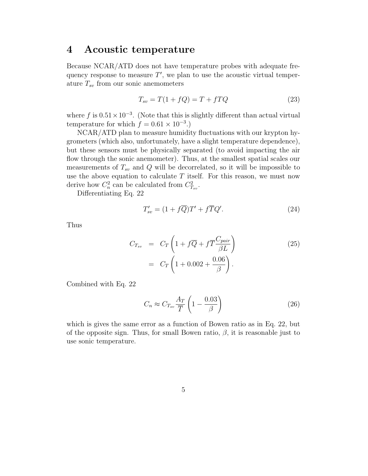### 4 Acoustic temperature

Because NCAR/ATD does not have temperature probes with adequate frequency response to measure  $T'$ , we plan to use the acoustic virtual temperature  $T_{sv}$  from our sonic anemometers

$$
T_{sv} = T(1 + fQ) = T + fTQ \tag{23}
$$

where f is  $0.51 \times 10^{-3}$ . (Note that this is slightly different than actual virtual temperature for which  $f = 0.61 \times 10^{-3}$ .

NCAR/ATD plan to measure humidity fluctuations with our krypton hygrometers (which also, unfortunately, have a slight temperature dependence), but these sensors must be physically separated (to avoid impacting the air flow through the sonic anemometer). Thus, at the smallest spatial scales our measurements of  $T_{sv}$  and Q will be decorrelated, so it will be impossible to use the above equation to calculate  $T$  itself. For this reason, we must now derive how  $C_n^2$  can be calculated from  $C_{T_{sv}}^2$ .

Differentiating Eq. 22

$$
T'_{sv} = (1 + f\overline{Q})T' + f\overline{T}Q'.\tag{24}
$$

Thus

$$
C_{T_{sv}} = C_T \left( 1 + f\overline{Q} + f\overline{T} \frac{C_{pair}}{\beta L} \right)
$$
  
=  $C_T \left( 1 + 0.002 + \frac{0.06}{\beta} \right)$ . (25)

Combined with Eq. 22

$$
C_n \approx C_{T_{sv}} \frac{A_T}{\overline{T}} \left( 1 - \frac{0.03}{\beta} \right) \tag{26}
$$

which is gives the same error as a function of Bowen ratio as in Eq. 22, but of the opposite sign. Thus, for small Bowen ratio,  $\beta$ , it is reasonable just to use sonic temperature.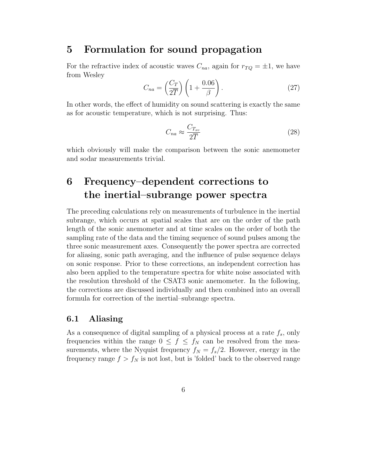### 5 Formulation for sound propagation

For the refractive index of acoustic waves  $C_{na}$ , again for  $r_{TQ} = \pm 1$ , we have from Wesley

$$
C_{na} = \left(\frac{C_T}{2\overline{T}}\right) \left(1 + \frac{0.06}{\beta}\right). \tag{27}
$$

In other words, the effect of humidity on sound scattering is exactly the same as for acoustic temperature, which is not surprising. Thus:

$$
C_{na} \approx \frac{C_{T_{sv}}}{2\overline{T}} \tag{28}
$$

which obviously will make the comparison between the sonic anemometer and sodar measurements trivial.

# 6 Frequency–dependent corrections to the inertial–subrange power spectra

The preceding calculations rely on measurements of turbulence in the inertial subrange, which occurs at spatial scales that are on the order of the path length of the sonic anemometer and at time scales on the order of both the sampling rate of the data and the timing sequence of sound pulses among the three sonic measurement axes. Consequently the power spectra are corrected for aliasing, sonic path averaging, and the influence of pulse sequence delays on sonic response. Prior to these corrections, an independent correction has also been applied to the temperature spectra for white noise associated with the resolution threshold of the CSAT3 sonic anemometer. In the following, the corrections are discussed individually and then combined into an overall formula for correction of the inertial–subrange spectra.

#### 6.1 Aliasing

As a consequence of digital sampling of a physical process at a rate  $f_s$ , only frequencies within the range  $0 \leq f \leq f_N$  can be resolved from the measurements, where the Nyquist frequency  $f_N = f_s/2$ . However, energy in the frequency range  $f > f_N$  is not lost, but is 'folded' back to the observed range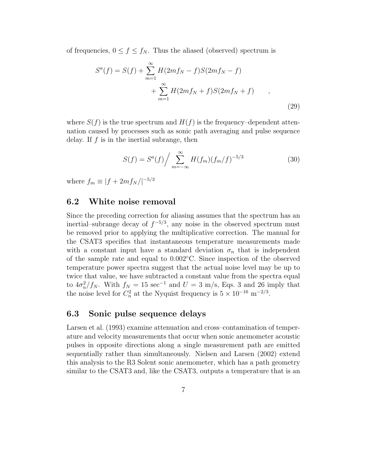of frequencies,  $0 \le f \le f_N$ . Thus the aliased (observed) spectrum is

$$
S^{a}(f) = S(f) + \sum_{m=1}^{\infty} H(2mf_{N} - f)S(2mf_{N} - f)
$$
  
+ 
$$
\sum_{m=1}^{\infty} H(2mf_{N} + f)S(2mf_{N} + f)
$$
 (29)

where  $S(f)$  is the true spectrum and  $H(f)$  is the frequency–dependent attenuation caused by processes such as sonic path averaging and pulse sequence delay. If  $f$  is in the inertial subrange, then

$$
S(f) = S^{a}(f) / \sum_{m = -\infty}^{\infty} H(f_{m})(f_{m}/f)^{-5/3}
$$
 (30)

where  $f_m \equiv |f + 2mf_N/|^{-5/3}$ 

#### 6.2 White noise removal

Since the preceding correction for aliasing assumes that the spectrum has an inertial–subrange decay of  $f^{-5/3}$ , any noise in the observed spectrum must be removed prior to applying the multiplicative correction. The manual for the CSAT3 specifies that instantaneous temperature measurements made with a constant input have a standard deviation  $\sigma_n$  that is independent of the sample rate and equal to 0.002◦C. Since inspection of the observed temperature power spectra suggest that the actual noise level may be up to twice that value, we have subtracted a constant value from the spectra equal to  $4\sigma_n^2/f_N$ . With  $f_N = 15 \text{ sec}^{-1}$  and  $U = 3 \text{ m/s}$ , Eqs. 3 and 26 imply that the noise level for  $C_n^2$  at the Nyquist frequency is  $5 \times 10^{-16}$  m<sup>-2/3</sup>.

#### 6.3 Sonic pulse sequence delays

Larsen et al. (1993) examine attenuation and cross–contamination of temperature and velocity measurements that occur when sonic anemometer acoustic pulses in opposite directions along a single measurement path are emitted sequentially rather than simultaneously. Nielsen and Larsen (2002) extend this analysis to the R3 Solent sonic anemometer, which has a path geometry similar to the CSAT3 and, like the CSAT3, outputs a temperature that is an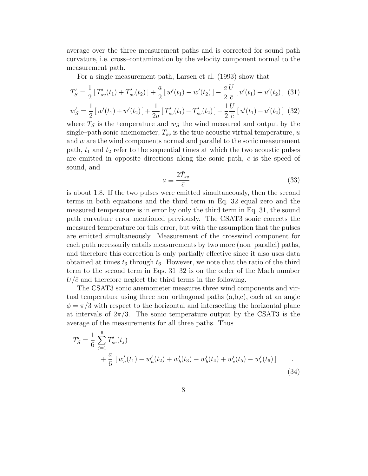average over the three measurement paths and is corrected for sound path curvature, i.e. cross–contamination by the velocity component normal to the measurement path.

For a single measurement path, Larsen et al. (1993) show that

$$
T'_{S} = \frac{1}{2} \left[ T'_{sv}(t_1) + T'_{sv}(t_2) \right] + \frac{a}{2} \left[ w'(t_1) - w'(t_2) \right] - \frac{a}{2} \frac{U}{\bar{c}} \left[ u'(t_1) + u'(t_2) \right] \tag{31}
$$

$$
w'_{S} = \frac{1}{2} \left[ w'(t_1) + w'(t_2) \right] + \frac{1}{2a} \left[ T'_{sv}(t_1) - T'_{sv}(t_2) \right] - \frac{1}{2} \frac{U}{\bar{c}} \left[ u'(t_1) - u'(t_2) \right] \tag{32}
$$

where  $T<sub>S</sub>$  is the temperature and  $w<sub>S</sub>$  the wind measured and output by the single–path sonic anemometer,  $T_{sv}$  is the true acoustic virtual temperature, u and w are the wind components normal and parallel to the sonic measurement path,  $t_1$  and  $t_2$  refer to the sequential times at which the two acoustic pulses are emitted in opposite directions along the sonic path, c is the speed of sound, and

$$
a \equiv \frac{2\bar{T}_{sv}}{\bar{c}}\tag{33}
$$

is about 1.8. If the two pulses were emitted simultaneously, then the second terms in both equations and the third term in Eq. 32 equal zero and the measured temperature is in error by only the third term in Eq. 31, the sound path curvature error mentioned previously. The CSAT3 sonic corrects the measured temperature for this error, but with the assumption that the pulses are emitted simultaneously. Measurement of the crosswind component for each path necessarily entails measurements by two more (non–parallel) paths, and therefore this correction is only partially effective since it also uses data obtained at times  $t_3$  through  $t_6$ . However, we note that the ratio of the third term to the second term in Eqs. 31–32 is on the order of the Mach number  $U/\bar{c}$  and therefore neglect the third terms in the following.

The CSAT3 sonic anemometer measures three wind components and virtual temperature using three non–orthogonal paths  $(a,b,c)$ , each at an angle  $\phi = \pi/3$  with respect to the horizontal and intersecting the horizontal plane at intervals of  $2\pi/3$ . The sonic temperature output by the CSAT3 is the average of the measurements for all three paths. Thus

$$
T'_{S} = \frac{1}{6} \sum_{j=1}^{6} T'_{sv}(t_j)
$$
  
+  $\frac{a}{6} [w'_{a}(t_1) - w'_{a}(t_2) + w'_{b}(t_3) - w'_{b}(t_4) + w'_{c}(t_5) - w'_{c}(t_6)]$  (34)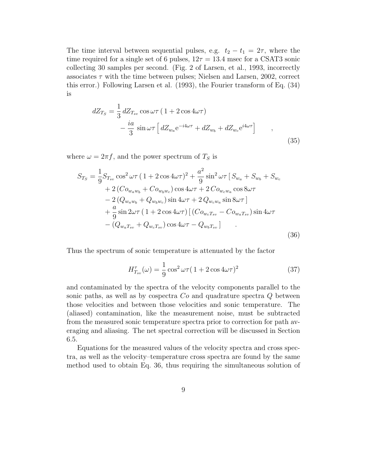The time interval between sequential pulses, e.g.  $t_2 - t_1 = 2\tau$ , where the time required for a single set of 6 pulses,  $12\tau = 13.4$  msec for a CSAT3 sonic collecting 30 samples per second. (Fig. 2 of Larsen, et al., 1993, incorrectly associates  $\tau$  with the time between pulses; Nielsen and Larsen, 2002, correct this error.) Following Larsen et al. (1993), the Fourier transform of Eq. (34) is

$$
dZ_{T_S} = \frac{1}{3} dZ_{T_{sv}} \cos \omega \tau (1 + 2 \cos 4\omega \tau)
$$

$$
- \frac{ia}{3} \sin \omega \tau \left[ dZ_{w_a} e^{-i4\omega \tau} + dZ_{w_b} + dZ_{w_c} e^{i4\omega \tau} \right] ,
$$

$$
(35)
$$

where  $\omega = 2\pi f$ , and the power spectrum of  $T<sub>S</sub>$  is

$$
S_{T_S} = \frac{1}{9} S_{T_{sv}} \cos^2 \omega \tau (1 + 2 \cos 4\omega \tau)^2 + \frac{a^2}{9} \sin^2 \omega \tau [S_{w_a} + S_{w_b} + S_{w_c} + 2(Co_{w_a w_b} + Co_{w_b w_c}) \cos 4\omega \tau + 2Co_{w_c w_a} \cos 8\omega \tau - 2(Q_{w_a w_b} + Q_{w_b w_c}) \sin 4\omega \tau + 2Q_{w_c w_a} \sin 8\omega \tau ] + \frac{a}{9} \sin 2\omega \tau (1 + 2 \cos 4\omega \tau) [(Co_{w_c T_{sv}} - Co_{w_a T_{sv}}) \sin 4\omega \tau - (Q_{w_a T_{sv}} + Q_{w_c T_{sv}}) \cos 4\omega \tau - Q_{w_b T_{sv}}]
$$
(36)

Thus the spectrum of sonic temperature is attenuated by the factor

$$
H_{T_{sv}}^{\tau}(\omega) = \frac{1}{9} \cos^2 \omega \tau (1 + 2 \cos 4\omega \tau)^2 \tag{37}
$$

and contaminated by the spectra of the velocity components parallel to the sonic paths, as well as by cospectra  $Co$  and quadrature spectra  $Q$  between those velocities and between those velocities and sonic temperature. The (aliased) contamination, like the measurement noise, must be subtracted from the measured sonic temperature spectra prior to correction for path averaging and aliasing. The net spectral correction will be discussed in Section 6.5.

Equations for the measured values of the velocity spectra and cross spectra, as well as the velocity–temperature cross spectra are found by the same method used to obtain Eq. 36, thus requiring the simultaneous solution of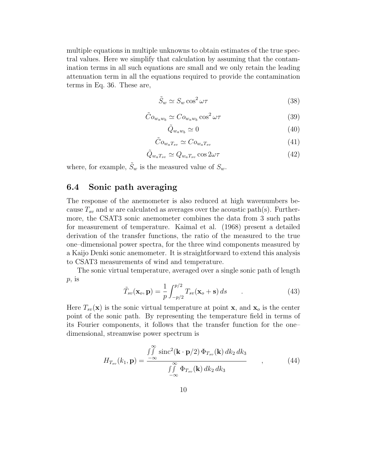multiple equations in multiple unknowns to obtain estimates of the true spectral values. Here we simplify that calculation by assuming that the contamination terms in all such equations are small and we only retain the leading attenuation term in all the equations required to provide the contamination terms in Eq. 36. These are,

$$
\tilde{S}_w \simeq S_w \cos^2 \omega \tau \tag{38}
$$

$$
\tilde{C}o_{w_a w_b} \simeq Co_{w_a w_b} \cos^2 \omega \tau \tag{39}
$$

$$
\tilde{Q}_{w_a w_b} \simeq 0 \tag{40}
$$

$$
\tilde{C}o_{w_aT_{sv}} \simeq Co_{w_aT_{sv}} \tag{41}
$$

$$
\tilde{Q}_{w_a T_{sv}} \simeq Q_{w_a T_{sv}} \cos 2\omega \tau \tag{42}
$$

where, for example,  $\tilde{S}_w$  is the measured value of  $S_w$ .

### 6.4 Sonic path averaging

The response of the anemometer is also reduced at high wavenumbers because  $T_{sv}$  and w are calculated as averages over the acoustic path(s). Furthermore, the CSAT3 sonic anemometer combines the data from 3 such paths for measurement of temperature. Kaimal et al. (1968) present a detailed derivation of the transfer functions, the ratio of the measured to the true one–dimensional power spectra, for the three wind components measured by a Kaijo Denki sonic anemometer. It is straightforward to extend this analysis to CSAT3 measurements of wind and temperature.

The sonic virtual temperature, averaged over a single sonic path of length  $p$ , is

$$
\tilde{T}_{sv}(\mathbf{x}_o, \mathbf{p}) = \frac{1}{p} \int_{-p/2}^{p/2} T_{sv}(\mathbf{x}_o + \mathbf{s}) ds \tag{43}
$$

Here  $T_{sv}(\mathbf{x})$  is the sonic virtual temperature at point **x**, and **x**<sub>o</sub> is the center point of the sonic path. By representing the temperature field in terms of its Fourier components, it follows that the transfer function for the one– dimensional, streamwise power spectrum is

$$
H_{T_{sv}}(k_1, \mathbf{p}) = \frac{\int_{-\infty}^{\infty} \text{sinc}^2(\mathbf{k} \cdot \mathbf{p}/2) \, \Phi_{T_{sv}}(\mathbf{k}) \, dk_2 \, dk_3}{\int_{-\infty}^{\infty} \Phi_{T_{sv}}(\mathbf{k}) \, dk_2 \, dk_3} \tag{44}
$$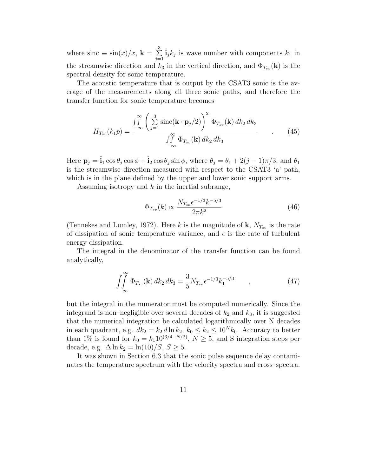where sinc  $\equiv \sin(x)/x$ ,  $\mathbf{k} = \sum_{i=1}^{3}$  $\sum_{j=1}^{3} \hat{\mathbf{i}}_j k_j$  is wave number with components  $k_1$  in the streamwise direction and  $k_3$  in the vertical direction, and  $\Phi_{T_{sn}}(\mathbf{k})$  is the spectral density for sonic temperature.

The acoustic temperature that is output by the CSAT3 sonic is the average of the measurements along all three sonic paths, and therefore the transfer function for sonic temperature becomes

$$
H_{T_{sv}}(k_1p) = \frac{\int\int\limits_{-\infty}^{\infty} \left(\sum\limits_{j=1}^3 \text{sinc}(\mathbf{k} \cdot \mathbf{p}_j/2)\right)^2 \Phi_{T_{sv}}(\mathbf{k}) dk_2 dk_3}{\int\int\limits_{-\infty}^{\infty} \Phi_{T_{sv}}(\mathbf{k}) dk_2 dk_3}
$$
(45)

Here  $\mathbf{p}_j = \hat{\mathbf{i}}_1 \cos \theta_j \cos \phi + \hat{\mathbf{i}}_2 \cos \theta_j \sin \phi$ , where  $\theta_j = \theta_1 + 2(j-1)\pi/3$ , and  $\theta_1$ is the streamwise direction measured with respect to the CSAT3 'a' path, which is in the plane defined by the upper and lower sonic support arms.

Assuming isotropy and  $k$  in the inertial subrange,

$$
\Phi_{T_{sv}}(k) \propto \frac{N_{T_{sv}}\epsilon^{-1/3}k^{-5/3}}{2\pi k^2} \tag{46}
$$

(Tennekes and Lumley, 1972). Here k is the magnitude of  $\mathbf{k}, N_{T_{sv}}$  is the rate of dissipation of sonic temperature variance, and  $\epsilon$  is the rate of turbulent energy dissipation.

The integral in the denominator of the transfer function can be found analytically,

$$
\iint_{-\infty}^{\infty} \Phi_{T_{sv}}(\mathbf{k}) \, dk_2 \, dk_3 = \frac{3}{5} N_{T_{sv}} \epsilon^{-1/3} k_1^{-5/3} \qquad , \qquad (47)
$$

but the integral in the numerator must be computed numerically. Since the integrand is non–negligible over several decades of  $k_2$  and  $k_3$ , it is suggested that the numerical integration be calculated logarithmically over N decades in each quadrant, e.g.  $dk_2 = k_2 d \ln k_2$ ,  $k_0 \le k_2 \le 10^N k_0$ . Accuracy to better than 1% is found for  $k_0 = k_1 10^{(3/4-N/2)}$ ,  $N \ge 5$ , and S integration steps per decade, e.g.  $\Delta \ln k_2 = \ln(10)/S$ ,  $S \geq 5$ .

It was shown in Section 6.3 that the sonic pulse sequence delay contaminates the temperature spectrum with the velocity spectra and cross–spectra.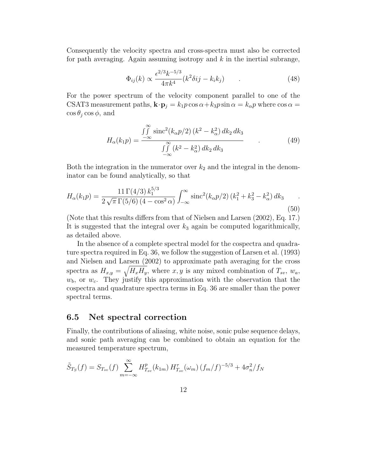Consequently the velocity spectra and cross-spectra must also be corrected for path averaging. Again assuming isotropy and  $k$  in the inertial subrange,

$$
\Phi_{ij}(k) \propto \frac{\epsilon^{2/3} k^{-5/3}}{4\pi k^4} (k^2 \delta i j - k_i k_j) \tag{48}
$$

For the power spectrum of the velocity component parallel to one of the CSAT3 measurement paths,  $\mathbf{k} \cdot \mathbf{p}_j = k_1 p \cos \alpha + k_3 p \sin \alpha = k_\alpha p$  where  $\cos \alpha =$  $\cos \theta_i \cos \phi$ , and

$$
H_{\alpha}(k_{1}p) = \frac{\int_{-\infty}^{\infty} \text{sinc}^{2}(k_{\alpha}p/2) (k^{2} - k_{\alpha}^{2}) dk_{2} dk_{3}}{\int_{-\infty}^{\infty} (k^{2} - k_{\alpha}^{2}) dk_{2} dk_{3}}
$$
(49)

Both the integration in the numerator over  $k_2$  and the integral in the denominator can be found analytically, so that

$$
H_{\alpha}(k_1 p) = \frac{11 \Gamma(4/3) k_1^{5/3}}{2 \sqrt{\pi} \Gamma(5/6) (4 - \cos^2 \alpha)} \int_{-\infty}^{\infty} \text{sinc}^2(k_{\alpha} p/2) (k_1^2 + k_3^2 - k_{\alpha}^2) dk_3
$$
\n(50)

(Note that this results differs from that of Nielsen and Larsen (2002), Eq. 17.) It is suggested that the integral over  $k_3$  again be computed logarithmically, as detailed above.

In the absence of a complete spectral model for the cospectra and quadrature spectra required in Eq. 36, we follow the suggestion of Larsen et al. (1993) and Nielsen and Larsen (2002) to approximate path averaging for the cross spectra as  $H_{x,y} = \sqrt{H_x H_y}$ , where  $x, y$  is any mixed combination of  $T_{sv}$ ,  $w_a$ ,  $w<sub>b</sub>$ , or  $w<sub>c</sub>$ . They justify this approximation with the observation that the cospectra and quadrature spectra terms in Eq. 36 are smaller than the power spectral terms.

#### 6.5 Net spectral correction

Finally, the contributions of aliasing, white noise, sonic pulse sequence delays, and sonic path averaging can be combined to obtain an equation for the measured temperature spectrum,

$$
\tilde{S}_{T_S}(f) = S_{T_{sv}}(f) \sum_{m=-\infty}^{\infty} H_{T_{sv}}^p(k_{1m}) H_{T_{sv}}^{\tau}(\omega_m) (f_m/f)^{-5/3} + 4\sigma_n^2/f_N
$$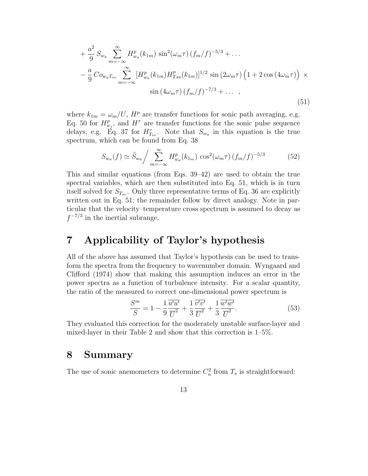$$
+\frac{a^2}{9} S_{w_a} \sum_{m=-\infty}^{\infty} H_{w_a}^p(k_{1m}) \sin^2(\omega_m \tau) (f_m/f)^{-5/3} + \dots
$$
  

$$
-\frac{a}{9} C o_{w_a T_{sv}} \sum_{m=-\infty}^{\infty} [H_{w_a}^p(k_{1m}) H_{Tsv}^p(k_{1m})]^{1/2} \sin(2\omega_m \tau) (1 + 2 \cos(4\omega_m \tau)) \times \sin(4\omega_m \tau) (f_m/f)^{-7/3} + \dots ,
$$
  
(51)

where  $k_{1m} = \omega_m/U$ ,  $H^p$  are transfer functions for sonic path averaging, e.g. Eq. 50 for  $H_{w_j}^p$ , and  $H^{\tau}$  are transfer functions for the sonic pulse sequence delays, e.g. Eq. 37 for  $H_{T_{sv}}^{\tau}$ . Note that  $S_{w_a}$  in this equation is the true spectrum, which can be found from Eq. 38

$$
S_{w_a}(f) \simeq \tilde{S}_{w_a} / \sum_{m=-\infty}^{\infty} H_{w_a}^p(k_{1_m}) \cos^2(\omega_m \tau) (f_m/f)^{-5/3}
$$
 (52)

This and similar equations (from Eqs. 39–42) are used to obtain the true spectral variables, which are then substituted into Eq. 51, which is in turn itself solved for  $S_{T_{sv}}$ . Only three representative terms of Eq. 36 are explicitly written out in Eq. 51; the remainder follow by direct analogy. Note in particular that the velocity–temperature cross spectrum is assumed to decay as  $f^{-7/3}$  in the inertial subrange.

# 7 Applicability of Taylor's hypothesis

All of the above has assumed that Taylor's hypothesis can be used to transform the spectra from the frequency to wavenumber domain. Wyngaard and Clifford (1974) show that making this assumption induces an error in the power spectra as a function of turbulence intensity. For a scalar quantity, the ratio of the measured to correct one-dimensional power spectrum is

$$
\frac{S^m}{S} = 1 - \frac{1}{9} \frac{\overline{u'u'}}{\overline{U}^2} + \frac{1}{3} \frac{\overline{v'v'}}{\overline{U}^2} + \frac{1}{3} \frac{\overline{w'w'}}{\overline{U}^2}.
$$
 (53)

They evaluated this correction for the moderately unstable surface-layer and mixed-layer in their Table 2 and show that this correction is 1–5%.

## 8 Summary

The use of sonic anemometers to determine  $C_n^2$  from  $T_s$  is straightforward: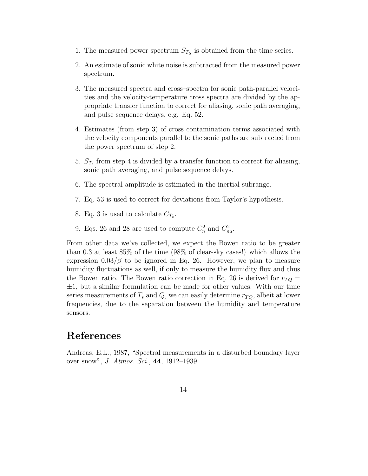- 1. The measured power spectrum  $S_{T_S}$  is obtained from the time series.
- 2. An estimate of sonic white noise is subtracted from the measured power spectrum.
- 3. The measured spectra and cross–spectra for sonic path-parallel velocities and the velocity-temperature cross spectra are divided by the appropriate transfer function to correct for aliasing, sonic path averaging, and pulse sequence delays, e.g. Eq. 52.
- 4. Estimates (from step 3) of cross contamination terms associated with the velocity components parallel to the sonic paths are subtracted from the power spectrum of step 2.
- 5.  $S_{T_s}$  from step 4 is divided by a transfer function to correct for aliasing, sonic path averaging, and pulse sequence delays.
- 6. The spectral amplitude is estimated in the inertial subrange.
- 7. Eq. 53 is used to correct for deviations from Taylor's hypothesis.
- 8. Eq. 3 is used to calculate  $C_{T_s}$ .
- 9. Eqs. 26 and 28 are used to compute  $C_n^2$  and  $C_{na}^2$ .

From other data we've collected, we expect the Bowen ratio to be greater than 0.3 at least 85% of the time (98% of clear-sky cases!) which allows the expression  $0.03/\beta$  to be ignored in Eq. 26. However, we plan to measure humidity fluctuations as well, if only to measure the humidity flux and thus the Bowen ratio. The Bowen ratio correction in Eq. 26 is derived for  $r_{TO}$  =  $\pm 1$ , but a similar formulation can be made for other values. With our time series measurements of  $T_s$  and Q, we can easily determine  $r_{TQ}$ , albeit at lower frequencies, due to the separation between the humidity and temperature sensors.

# References

Andreas, E.L., 1987, "Spectral measurements in a disturbed boundary layer over snow", J. Atmos. Sci., 44, 1912–1939.